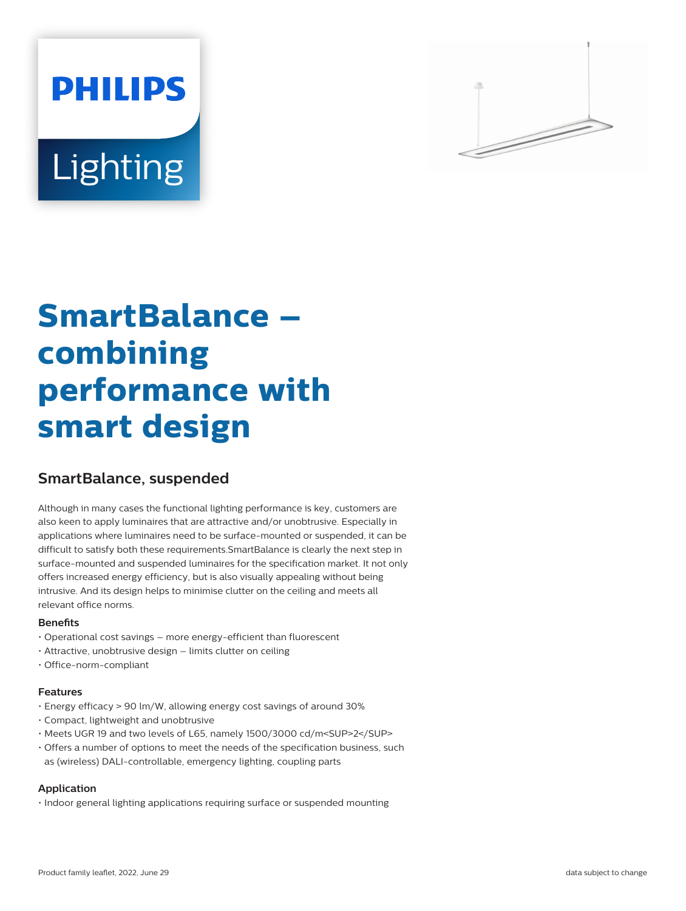# **PHILIPS** Lighting



# **SmartBalance – combining performance with smart design**

# **SmartBalance, suspended**

Although in many cases the functional lighting performance is key, customers are also keen to apply luminaires that are attractive and/or unobtrusive. Especially in applications where luminaires need to be surface-mounted or suspended, it can be difficult to satisfy both these requirements.SmartBalance is clearly the next step in surface-mounted and suspended luminaires for the specification market. It not only offers increased energy efficiency, but is also visually appealing without being intrusive. And its design helps to minimise clutter on the ceiling and meets all relevant office norms.

#### **Benefits**

- Operational cost savings more energy-efficient than fluorescent
- Attractive, unobtrusive design limits clutter on ceiling
- Office-norm-compliant

#### **Features**

- Energy efficacy > 90 lm/W, allowing energy cost savings of around 30%
- Compact, lightweight and unobtrusive
- Meets UGR 19 and two levels of L65, namely 1500/3000 cd/m<SUP>2</SUP>
- Offers a number of options to meet the needs of the specification business, such as (wireless) DALI-controllable, emergency lighting, coupling parts

#### **Application**

• Indoor general lighting applications requiring surface or suspended mounting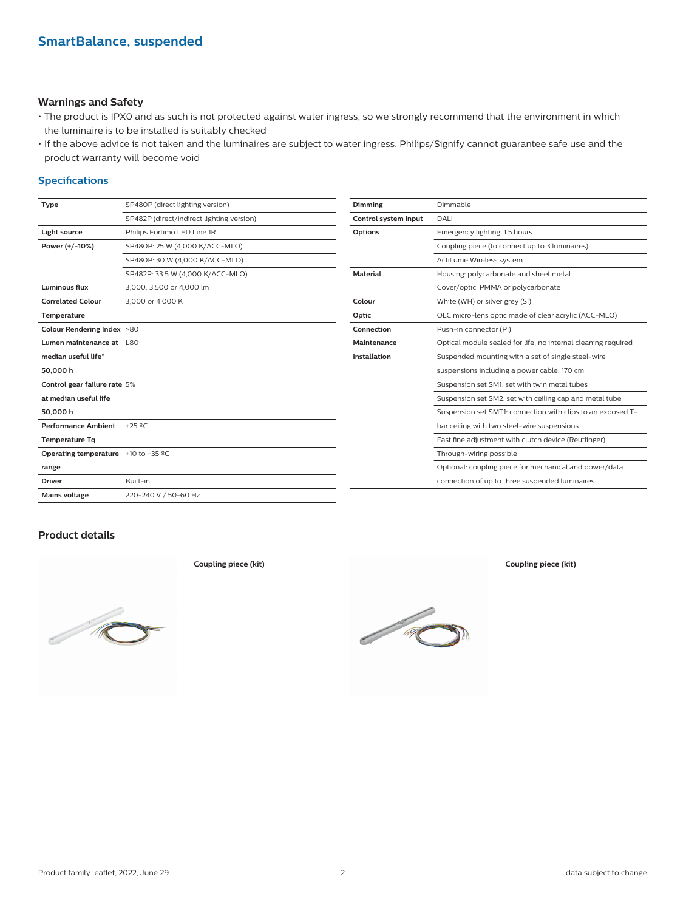#### **Warnings and Safety**

- The product is IPX0 and as such is not protected against water ingress, so we strongly recommend that the environment in which the luminaire is to be installed is suitably checked
- If the above advice is not taken and the luminaires are subject to water ingress, Philips/Signify cannot guarantee safe use and the product warranty will become void

#### **Specifications**

| <b>Type</b>                                                | SP480P (direct lighting version)          | Dimming              | Dimmable                                                      |
|------------------------------------------------------------|-------------------------------------------|----------------------|---------------------------------------------------------------|
|                                                            | SP482P (direct/indirect lighting version) | Control system input | DALI                                                          |
| Light source                                               | Philips Fortimo LED Line 1R               | <b>Options</b>       | Emergency lighting: 1.5 hours                                 |
| Power (+/-10%)                                             | SP480P: 25 W (4,000 K/ACC-MLO)            |                      | Coupling piece (to connect up to 3 luminaires)                |
|                                                            | SP480P: 30 W (4,000 K/ACC-MLO)            |                      | ActiLume Wireless system                                      |
|                                                            | SP482P: 33.5 W (4,000 K/ACC-MLO)          | <b>Material</b>      | Housing: polycarbonate and sheet metal                        |
| Luminous flux                                              | 3.000, 3.500 or 4.000 lm                  |                      | Cover/optic: PMMA or polycarbonate                            |
| <b>Correlated Colour</b>                                   | 3,000 or 4,000 K                          | Colour               | White (WH) or silver grey (SI)                                |
| Temperature                                                |                                           | Optic                | OLC micro-lens optic made of clear acrylic (ACC-MLO)          |
| Colour Rendering Index >80                                 |                                           | Connection           | Push-in connector (PI)                                        |
| Lumen maintenance at L80                                   |                                           | Maintenance          | Optical module sealed for life; no internal cleaning required |
| median useful life*                                        |                                           | Installation         | Suspended mounting with a set of single steel-wire            |
| 50,000h                                                    |                                           |                      | suspensions including a power cable, 170 cm                   |
| Control gear failure rate 5%                               |                                           |                      | Suspension set SM1: set with twin metal tubes                 |
| at median useful life                                      |                                           |                      | Suspension set SM2: set with ceiling cap and metal tube       |
| 50,000h                                                    |                                           |                      | Suspension set SMT1: connection with clips to an exposed T-   |
| Performance Ambient +25 °C                                 |                                           |                      | bar ceiling with two steel-wire suspensions                   |
| <b>Temperature Tg</b>                                      |                                           |                      | Fast fine adjustment with clutch device (Reutlinger)          |
| <b>Operating temperature</b> $+10$ to $+35$ <sup>o</sup> C |                                           |                      | Through-wiring possible                                       |
| range                                                      |                                           |                      | Optional: coupling piece for mechanical and power/data        |
| <b>Driver</b>                                              | Built-in                                  |                      | connection of up to three suspended luminaires                |
| <b>Mains voltage</b>                                       | 220-240 V / 50-60 Hz                      |                      |                                                               |
|                                                            |                                           |                      |                                                               |

#### **Product details**



**Coupling piece (kit) Coupling piece (kit)**

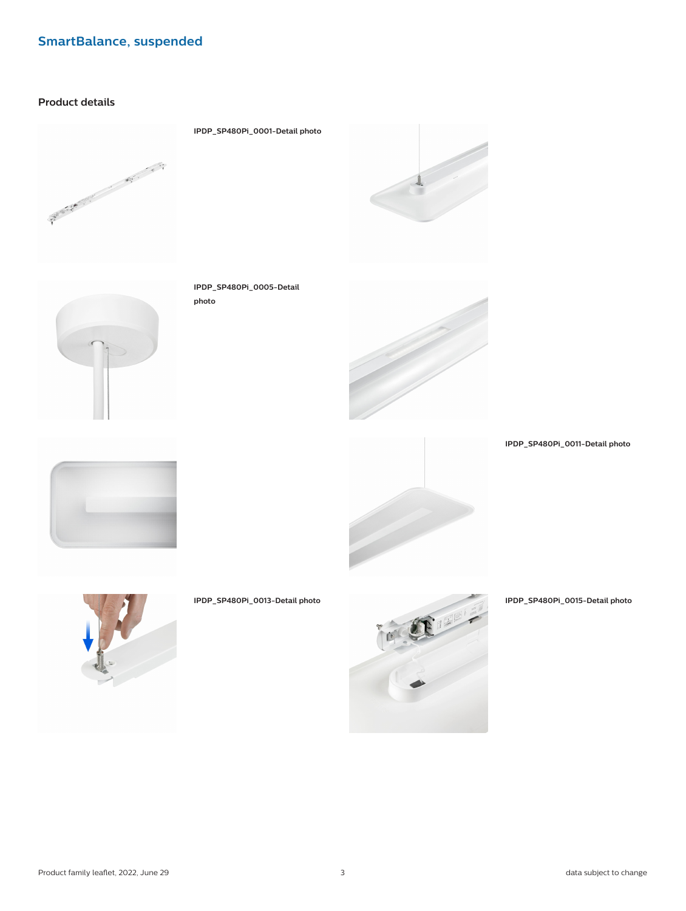#### **Product details**





**IPDP\_SP480Pi\_0001-Detail photo**

**IPDP\_SP480Pi\_0005-Detail**

**photo**





**IPDP\_SP480Pi\_0011-Detail photo**







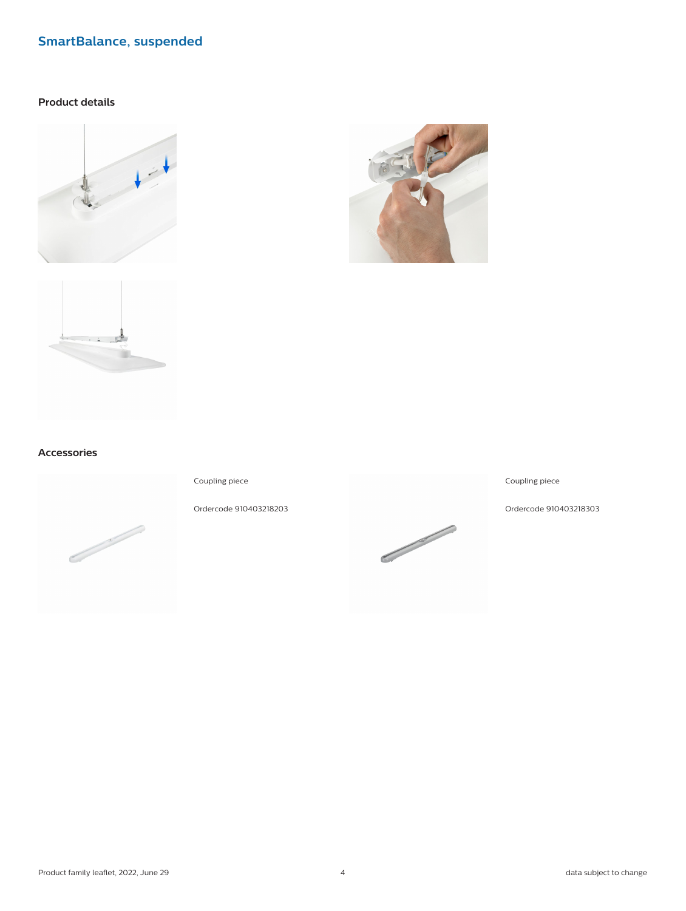#### **Product details**







#### **Accessories**



Coupling piece

Ordercode 910403218203



#### Coupling piece

Ordercode 910403218303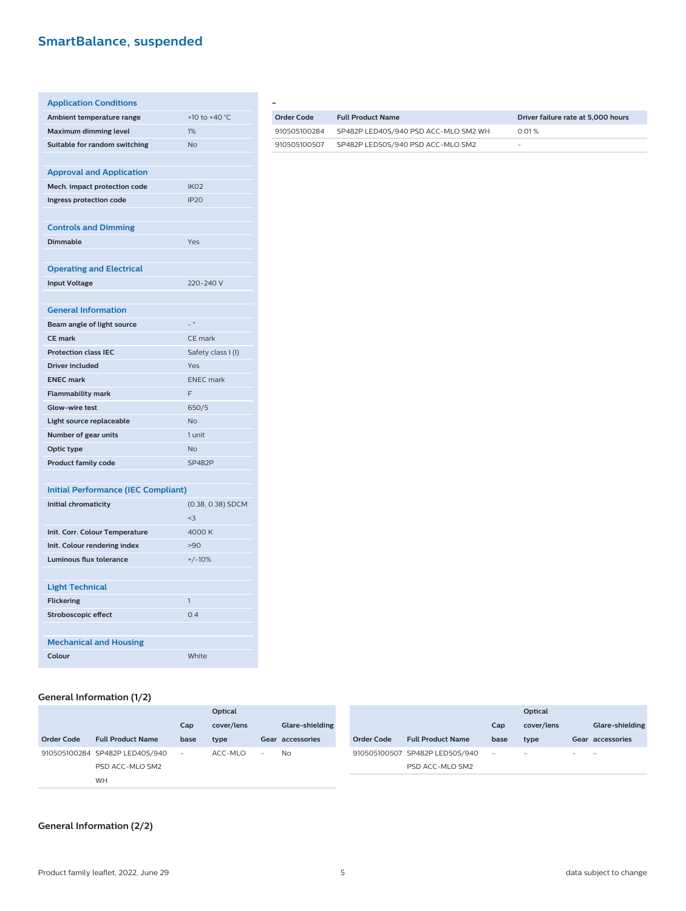| <b>Application Conditions</b>              |                    |
|--------------------------------------------|--------------------|
| Ambient temperature range                  | +10 to +40 °C      |
| <b>Maximum dimming level</b>               | 1%                 |
| Suitable for random switching              | <b>No</b>          |
|                                            |                    |
| <b>Approval and Application</b>            |                    |
| Mech. impact protection code               | IK <sub>02</sub>   |
| Ingress protection code                    | <b>IP20</b>        |
|                                            |                    |
| <b>Controls and Dimming</b>                |                    |
| <b>Dimmable</b>                            | Yes                |
|                                            |                    |
| <b>Operating and Electrical</b>            |                    |
| <b>Input Voltage</b>                       | 220-240 V          |
|                                            |                    |
| <b>General Information</b>                 |                    |
| Beam angle of light source                 | $= 0$              |
| <b>CE mark</b>                             | CE mark            |
| <b>Protection class IEC</b>                | Safety class I (I) |
| <b>Driver included</b>                     | Yes                |
| <b>ENEC mark</b>                           | <b>ENEC</b> mark   |
| <b>Flammability mark</b>                   | F                  |
| <b>Glow-wire test</b>                      | 650/5              |
| Light source replaceable                   | <b>No</b>          |
| Number of gear units                       | 1 unit             |
| Optic type                                 | <b>No</b>          |
| <b>Product family code</b>                 | <b>SP482P</b>      |
|                                            |                    |
| <b>Initial Performance (IEC Compliant)</b> |                    |
| <b>Initial chromaticity</b>                | (0.38, 0.38) SDCM  |
|                                            | $3$                |
| Init. Corr. Colour Temperature             | 4000 K             |
| Init. Colour rendering index               | >90                |
| <b>Luminous flux tolerance</b>             | $+/-10%$           |
|                                            |                    |
| <b>Light Technical</b>                     |                    |
| <b>Flickering</b>                          | 1                  |
| <b>Stroboscopic effect</b>                 | 0.4                |
|                                            |                    |
| <b>Mechanical and Housing</b>              |                    |
| Colour                                     | White              |

| Order Code   | <b>Full Product Name</b>             | Driver failure rate at 5,000 hours |
|--------------|--------------------------------------|------------------------------------|
| 910505100284 | SP482P LED40S/940 PSD ACC-MLO SM2 WH | 0.01%                              |
| 910505100507 | SP482P LED50S/940 PSD ACC-MLO SM2    | -                                  |

#### **General Information (1/2)**

|                   |                                |                          | Optical    |                          |                  |                   |                                |        | Optical                  |                          |                          |
|-------------------|--------------------------------|--------------------------|------------|--------------------------|------------------|-------------------|--------------------------------|--------|--------------------------|--------------------------|--------------------------|
|                   |                                | Cap                      | cover/lens |                          | Glare-shielding  |                   |                                | Cap    | cover/lens               |                          | Glare-shielding          |
| <b>Order Code</b> | <b>Full Product Name</b>       | base                     | type       |                          | Gear accessories | <b>Order Code</b> | <b>Full Product Name</b>       | base   | type                     |                          | Gear accessories         |
|                   | 910505100284 SP482P LED40S/940 | $\overline{\phantom{a}}$ | ACC-MLO    | $\overline{\phantom{a}}$ | <b>No</b>        |                   | 910505100507 SP482P LED50S/940 | $\sim$ | $\overline{\phantom{a}}$ | $\overline{\phantom{0}}$ | $\overline{\phantom{0}}$ |
|                   | PSD ACC-MLO SM2                |                          |            |                          |                  |                   | PSD ACC-MLO SM2                |        |                          |                          |                          |
|                   | WH                             |                          |            |                          |                  |                   |                                |        |                          |                          |                          |

#### **General Information (2/2)**